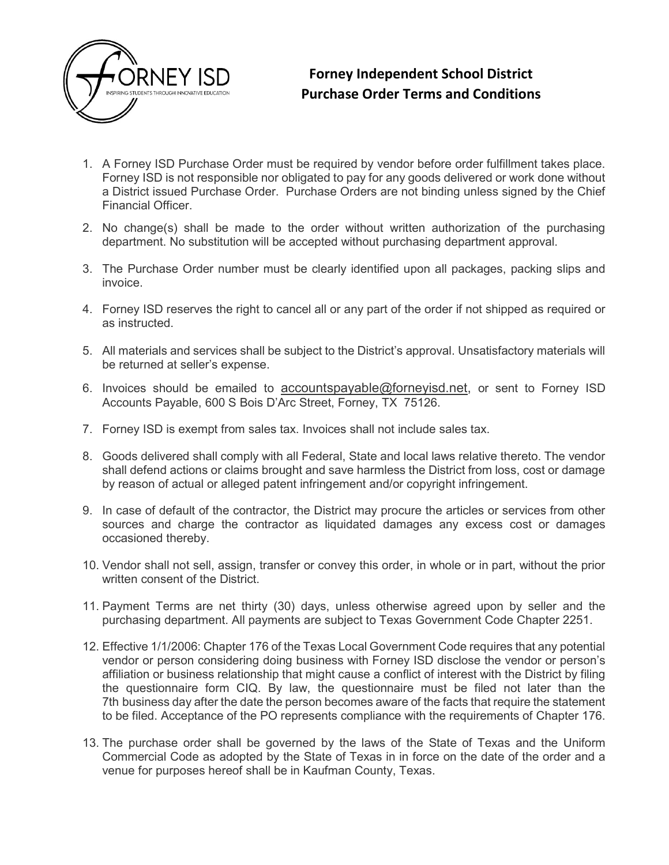

## Forney Independent School District Purchase Order Terms and Conditions

- 1. A Forney ISD Purchase Order must be required by vendor before order fulfillment takes place. Forney ISD is not responsible nor obligated to pay for any goods delivered or work done without a District issued Purchase Order. Purchase Orders are not binding unless signed by the Chief Financial Officer.
- 2. No change(s) shall be made to the order without written authorization of the purchasing department. No substitution will be accepted without purchasing department approval.
- 3. The Purchase Order number must be clearly identified upon all packages, packing slips and invoice.
- 4. Forney ISD reserves the right to cancel all or any part of the order if not shipped as required or as instructed.
- 5. All materials and services shall be subject to the District's approval. Unsatisfactory materials will be returned at seller's expense.
- 6. Invoices should be emailed to accountspayable@forneyisd.net, or sent to Forney ISD Accounts Payable, 600 S Bois D'Arc Street, Forney, TX 75126.
- 7. Forney ISD is exempt from sales tax. Invoices shall not include sales tax.
- 8. Goods delivered shall comply with all Federal, State and local laws relative thereto. The vendor shall defend actions or claims brought and save harmless the District from loss, cost or damage by reason of actual or alleged patent infringement and/or copyright infringement.
- 9. In case of default of the contractor, the District may procure the articles or services from other sources and charge the contractor as liquidated damages any excess cost or damages occasioned thereby.
- 10. Vendor shall not sell, assign, transfer or convey this order, in whole or in part, without the prior written consent of the District.
- 11. Payment Terms are net thirty (30) days, unless otherwise agreed upon by seller and the purchasing department. All payments are subject to Texas Government Code Chapter 2251.
- 12. Effective 1/1/2006: Chapter 176 of the Texas Local Government Code requires that any potential vendor or person considering doing business with Forney ISD disclose the vendor or person's affiliation or business relationship that might cause a conflict of interest with the District by filing the questionnaire form CIQ. By law, the questionnaire must be filed not later than the 7th business day after the date the person becomes aware of the facts that require the statement to be filed. Acceptance of the PO represents compliance with the requirements of Chapter 176.
- 13. The purchase order shall be governed by the laws of the State of Texas and the Uniform Commercial Code as adopted by the State of Texas in in force on the date of the order and a venue for purposes hereof shall be in Kaufman County, Texas.